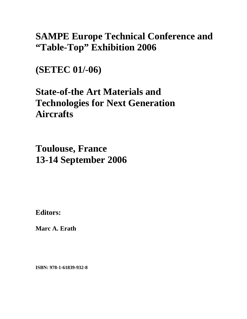## **SAMPE Europe Technical Conference and "Table-Top" Exhibition 2006**

**(SETEC 01/-06)** 

# **State-of-the Art Materials and Technologies for Next Generation Aircrafts**

**Toulouse, France 13-14 September 2006**

**Editors:** 

**Marc A. Erath** 

**ISBN: 978-1-61839-932-8**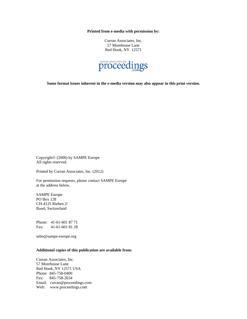**Printed from e-media with permission by:** 

Curran Associates, Inc. 57 Morehouse Lane Red Hook, NY 12571



**Some format issues inherent in the e-media version may also appear in this print version.** 

Copyright© (2006) by SAMPE Europe All rights reserved.

Printed by Curran Associates, Inc. (2012)

For permission requests, please contact SAMPE Europe at the address below.

SAMPE Europe PO Box 128 CH-4125 Riehen 2/ Basel, Switzerland

Phone: 41-61-601 87 71 Fax: 41-61-601 81 28

sebo@sampe-europe.org

#### **Additional copies of this publication are available from:**

Curran Associates, Inc. 57 Morehouse Lane Red Hook, NY 12571 USA Phone: 845-758-0400 Fax: 845-758-2634 Email: curran@proceedings.com Web: www.proceedings.com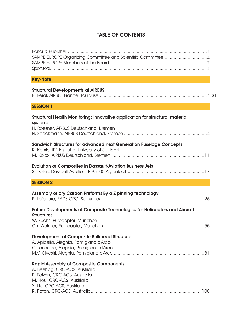## TABLE OF CONTENTS

| <b>Key-Note</b>                                                                                                                                                                 |
|---------------------------------------------------------------------------------------------------------------------------------------------------------------------------------|
| <b>Structural Developments at AIRBUS</b>                                                                                                                                        |
| <b>SESSION 1</b>                                                                                                                                                                |
| Structural Health Monitoring: innovative application for structural material<br>systems<br>H. Roesner, AIRBUS Deutschland, Bremen                                               |
| Sandwich Structures for advanced next Generation Fuselage Concepts<br>R. Kehrle, IFB Institut of University of Stuttgart                                                        |
| <b>Evolution of Composites in Dassault-Aviation Business Jets</b>                                                                                                               |
| <b>SESSION 2</b>                                                                                                                                                                |
| Assembly of dry Carbon Preforms By a Z pinning technology                                                                                                                       |
| Future Developments of Composite Technologies for Helicopters and Aircraft<br><b>Structures</b><br>W. Buchs, Eurocopter, München                                                |
| <b>Development of Composite Bulkhead Structure</b><br>A. Apicella, Alegnia, Pomigiano d'Arco<br>G. Iannuzzo, Alegnia, Pomigiano d'Arco                                          |
| <b>Rapid Assembly of Composite Components</b><br>A. Beehag, CRC-ACS, Austrialia<br>P. Falzon, CRC-ACS, Austrialia<br>M. Hou, CRC-ACS, Austrialia<br>X. Liu, CRC-ACS, Austrialia |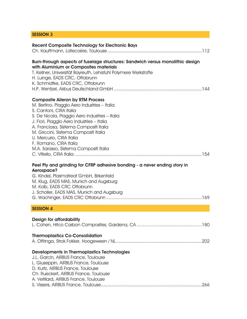### SESSION 3

| <b>Recent Composite Technology for Electronic Bays</b>                                                                                                                                                                                                                                                                                                                                                |
|-------------------------------------------------------------------------------------------------------------------------------------------------------------------------------------------------------------------------------------------------------------------------------------------------------------------------------------------------------------------------------------------------------|
| Burn-through aspects of fuselage structures: Sandwich versus monolithic design<br>with Aluminium or Composites materials<br>T. Kellner, Universität Bayreuth, Lehrstuhl Polymere Werkstoffe<br>H. Luinge, EADS CRC, Ottobrunn<br>K. Schmidtke, EADS CRC, Ottobrunn                                                                                                                                    |
| <b>Composite Aileron by RTM Process</b><br>M. Bertino, Piaggio Aero Industries - Italia<br>S. Cantoni, CIRA Italia<br>S. De Nicola, Piaggio Aero Industries - Italia<br>J. Fiori, Piaggio Aero Industries - Italia<br>A. Franciosa, Sistema Compositi Italia<br>M. Griccini, Sistema Compositi Italia<br>U. Mercurio, CIRA Italia<br>F. Romano, CIRA Italia<br>M.A. Sarasso, Sistema Compositi Italia |
| Peel Ply and grinding for CFRP adhesive bonding - a never ending story in<br>Aerospace?<br>G. Kindel, Plasmatreat GmbH, Birkenfeld<br>M. Klug, EADS MAS, Munich and Augsburg<br>M. Kolb, EADS CRC Ottobrunn<br>J. Scholler, EADS MAS, Munich and Augsburg                                                                                                                                             |
| <b>SESSION 4</b>                                                                                                                                                                                                                                                                                                                                                                                      |
| Design for affordability<br><b>Thermoplastics Co-Consolidation</b>                                                                                                                                                                                                                                                                                                                                    |
| Developments in Thermoplastics Technologies<br>J.L. Garcin, AIRBUS France, Toulouse<br>L. Giuseppin, AIRBUS France, Toulouse<br>D. Kurtz, AIRBUS France, Toulouse<br>Ch. Rueckert, AIRBUS France, Toulouse<br>A. Vetillard, AIRBUS France, Toulouse                                                                                                                                                   |